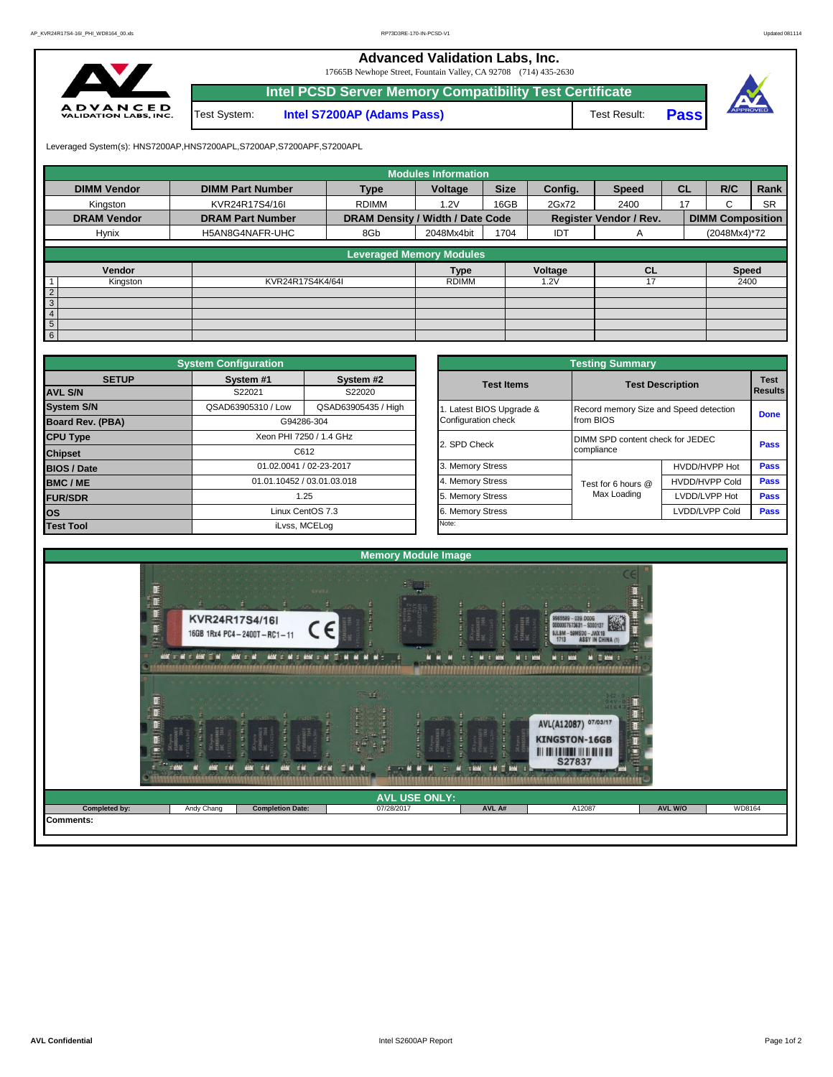**Advanced Validation Labs, Inc.** 

17665B Newhope Street, Fountain Valley, CA 92708 (714) 435-2630



|              | Intel PCSD Server Memory Compatibility Test Certificate |              |             |  |
|--------------|---------------------------------------------------------|--------------|-------------|--|
| Test System: | <b>Intel S7200AP (Adams Pass)</b>                       | Test Result: | <b>Pass</b> |  |

Leveraged System(s): HNS7200AP,HNS7200APL,S7200AP,S7200APF,S7200APL

|                          |                         |                                  | <b>Modules Information</b> |             |         |                               |           |                         |           |
|--------------------------|-------------------------|----------------------------------|----------------------------|-------------|---------|-------------------------------|-----------|-------------------------|-----------|
| <b>DIMM Vendor</b>       | <b>DIMM Part Number</b> | <b>Type</b>                      | Voltage                    | <b>Size</b> | Config. | <b>Speed</b>                  | <b>CL</b> | R/C                     | Rank      |
| Kingston                 | KVR24R17S4/16I          | <b>RDIMM</b>                     | 1.2V                       | 16GB        | 2Gx72   | 2400                          | 17        | C.                      | <b>SR</b> |
| <b>DRAM Vendor</b>       | <b>DRAM Part Number</b> | DRAM Density / Width / Date Code |                            |             |         | <b>Register Vendor / Rev.</b> |           | <b>DIMM Composition</b> |           |
| Hynix                    | H5AN8G4NAFR-UHC         | 8Gb                              | 2048Mx4bit                 | 1704        | IDT     | A                             |           | (2048Mx4)*72            |           |
|                          |                         | <b>Leveraged Memory Modules</b>  |                            |             |         |                               |           |                         |           |
| Vendor                   |                         |                                  | <b>Type</b>                |             | Voltage | <b>CL</b>                     |           | <b>Speed</b>            |           |
| $\mathbf{1}$<br>Kingston | KVR24R17S4K4/64I        |                                  | <b>RDIMM</b>               |             | 1.2V    |                               |           | 2400                    |           |
| $\overline{2}$           |                         |                                  |                            |             |         |                               |           |                         |           |
| $\overline{3}$           |                         |                                  |                            |             |         |                               |           |                         |           |
| $\overline{4}$           |                         |                                  |                            |             |         |                               |           |                         |           |
| $5\overline{)}$          |                         |                                  |                            |             |         |                               |           |                         |           |
| 6                        |                         |                                  |                            |             |         |                               |           |                         |           |

|                         | <b>System Configuration</b> |                            |                       | <b>Testing Summary</b>                 |                         |             |
|-------------------------|-----------------------------|----------------------------|-----------------------|----------------------------------------|-------------------------|-------------|
| <b>SETUP</b>            | System #1                   | System #2                  | <b>Test Items</b>     |                                        | <b>Test Description</b> | <b>Test</b> |
| <b>AVL S/N</b>          | S22021<br>S22020            |                            |                       |                                        |                         | Results     |
| <b>System S/N</b>       | QSAD63905310 / Low          | QSAD63905435 / High        | Latest BIOS Upgrade & | Record memory Size and Speed detection |                         | <b>Done</b> |
| <b>Board Rev. (PBA)</b> |                             | G94286-304                 | Configuration check   | from BIOS                              |                         |             |
| <b>CPU Type</b>         |                             | Xeon PHI 7250 / 1.4 GHz    | 2. SPD Check          | DIMM SPD content check for JEDEC       |                         | <b>Pass</b> |
| <b>Chipset</b>          |                             | C612                       |                       | compliance                             |                         |             |
| <b>BIOS / Date</b>      |                             | 01.02.0041 / 02-23-2017    | 3. Memory Stress      |                                        | HVDD/HVPP Hot           | <b>Pass</b> |
| <b>BMC/ME</b>           |                             | 01.01.10452 / 03.01.03.018 | 4. Memory Stress      | Test for 6 hours @                     | <b>HVDD/HVPP Cold</b>   | Pass        |
| <b>FUR/SDR</b>          |                             | 1.25                       | 5. Memory Stress      | Max Loading                            | LVDD/LVPP Hot           | Pass        |
| los                     |                             | Linux CentOS 7.3           | 6. Memory Stress      |                                        | LVDD/LVPP Cold          | <b>Pass</b> |
| <b>Test Tool</b>        |                             | iLvss, MCELog              | Note:                 |                                        |                         |             |

|              | <b>System Configuration</b> |                            |                       | <b>Testing Summary</b>                 |                         |                               |  |  |
|--------------|-----------------------------|----------------------------|-----------------------|----------------------------------------|-------------------------|-------------------------------|--|--|
| <b>SETUP</b> | System #1<br>S22021         | System #2<br>S22020        | <b>Test Items</b>     |                                        | <b>Test Description</b> | <b>Test</b><br><b>Results</b> |  |  |
|              | QSAD63905310 / Low          | QSAD63905435 / High        | Latest BIOS Upgrade & | Record memory Size and Speed detection |                         |                               |  |  |
| PBA)         |                             | G94286-304                 | Configuration check   | from BIOS                              |                         | <b>Done</b>                   |  |  |
|              |                             | Xeon PHI 7250 / 1.4 GHz    |                       | DIMM SPD content check for JEDEC       |                         |                               |  |  |
|              |                             | C612                       | 2. SPD Check          | compliance                             |                         | Pass                          |  |  |
|              |                             | 01.02.0041 / 02-23-2017    | 3. Memory Stress      |                                        | HVDD/HVPP Hot           | Pass                          |  |  |
|              |                             | 01.01.10452 / 03.01.03.018 | 4. Memory Stress      | Test for 6 hours @                     | <b>HVDD/HVPP Cold</b>   | Pass                          |  |  |
|              |                             | 1.25                       | 5. Memory Stress      | Max Loading                            | LVDD/LVPP Hot           | <b>Pass</b>                   |  |  |
|              |                             | Linux CentOS 7.3           | 6. Memory Stress      |                                        | LVDD/LVPP Cold          |                               |  |  |
|              |                             | iLvss, MCELog              | Note:                 |                                        |                         |                               |  |  |